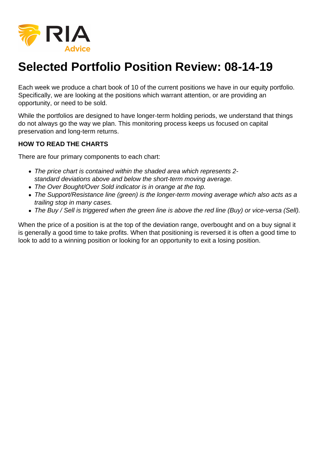

## **Selected Portfolio Position Review: 08-14-19**

Each week we produce a chart book of 10 of the current positions we have in our equity portfolio. Specifically, we are looking at the positions which warrant attention, or are providing an opportunity, or need to be sold.

While the portfolios are designed to have longer-term holding periods, we understand that things do not always go the way we plan. This monitoring process keeps us focused on capital preservation and long-term returns.

## **HOW TO READ THE CHARTS**

There are four primary components to each chart:

- The price chart is contained within the shaded area which represents 2 standard deviations above and below the short-term moving average.
- The Over Bought/Over Sold indicator is in orange at the top.
- The Support/Resistance line (green) is the longer-term moving average which also acts as a trailing stop in many cases.
- The Buy / Sell is triggered when the green line is above the red line (Buy) or vice-versa (Sell).

When the price of a position is at the top of the deviation range, overbought and on a buy signal it is generally a good time to take profits. When that positioning is reversed it is often a good time to look to add to a winning position or looking for an opportunity to exit a losing position.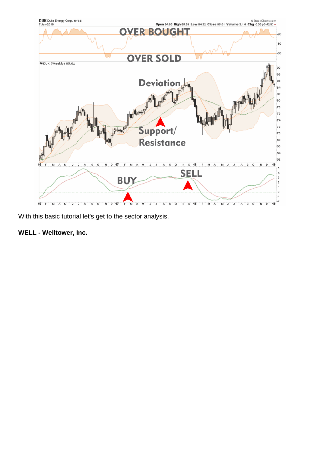With this basic tutorial let's get to the sector analysis.

WELL - Welltower, Inc.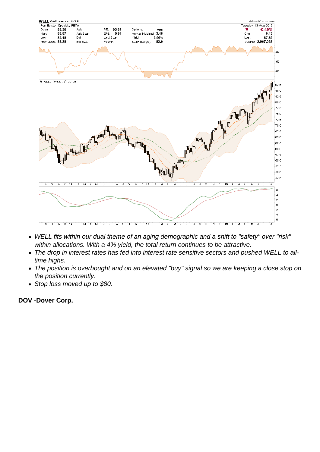- WELL fits within our dual theme of an aging demographic and a shift to "safety" over "risk" within allocations. With a 4% yield, the total return continues to be attractive.
- The drop in interest rates has fed into interest rate sensitive sectors and pushed WELL to alltime highs.
- The position is overbought and on an elevated "buy" signal so we are keeping a close stop on the position currently.
- Stop loss moved up to \$80.

DOV -Dover Corp.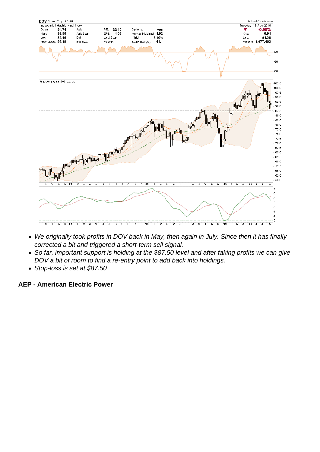- We originally took profits in DOV back in May, then again in July. Since then it has finally corrected a bit and triggered a short-term sell signal.
- So far, important support is holding at the \$87.50 level and after taking profits we can give DOV a bit of room to find a re-entry point to add back into holdings.
- Stop-loss is set at \$87.50

AEP - American Electric Power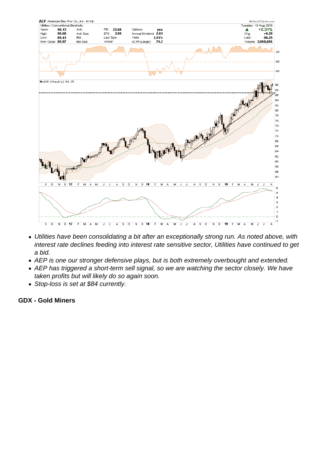- Utilities have been consolidating a bit after an exceptionally strong run. As noted above, with interest rate declines feeding into interest rate sensitive sector, Utilities have continued to get a bid.
- AEP is one our stronger defensive plays, but is both extremely overbought and extended.
- AEP has triggered a short-term sell signal, so we are watching the sector closely. We have taken profits but will likely do so again soon.
- Stop-loss is set at \$84 currently.

GDX - Gold Miners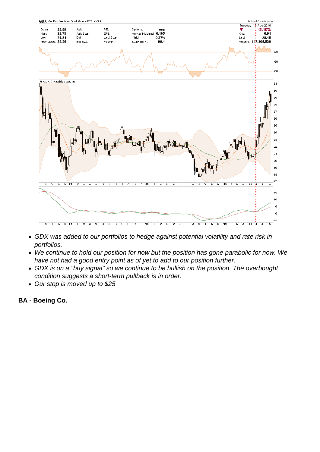- GDX was added to our portfolios to hedge against potential volatility and rate risk in portfolios.
- We continue to hold our position for now but the position has gone parabolic for now. We have not had a good entry point as of yet to add to our position further.
- GDX is on a "buy signal" so we continue to be bullish on the position. The overbought condition suggests a short-term pullback is in order.
- Our stop is moved up to \$25

BA - Boeing Co.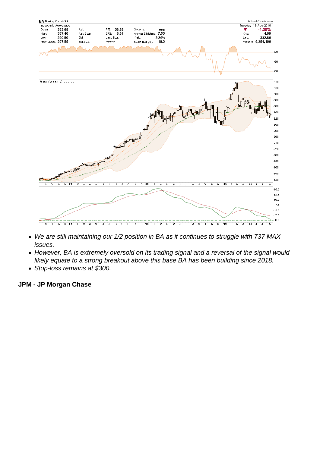- We are still maintaining our 1/2 position in BA as it continues to struggle with 737 MAX issues.
- However, BA is extremely oversold on its trading signal and a reversal of the signal would likely equate to a strong breakout above this base BA has been building since 2018.
- Stop-loss remains at \$300.

JPM - JP Morgan Chase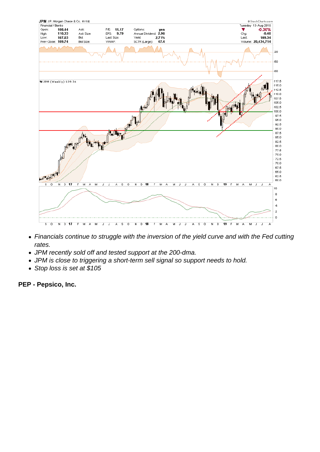- Financials continue to struggle with the inversion of the yield curve and with the Fed cutting rates.
- JPM recently sold off and tested support at the 200-dma.
- JPM is close to triggering a short-term sell signal so support needs to hold.
- Stop loss is set at \$105

PEP - Pepsico, Inc.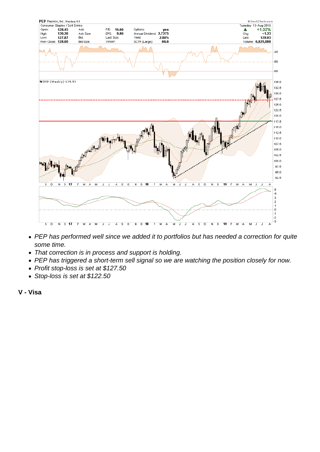- PEP has performed well since we added it to portfolios but has needed a correction for quite some time.
- That correction is in process and support is holding.
- PEP has triggered a short-term sell signal so we are watching the position closely for now.
- Profit stop-loss is set at \$127.50
- Stop-loss is set at \$122.50

V - Visa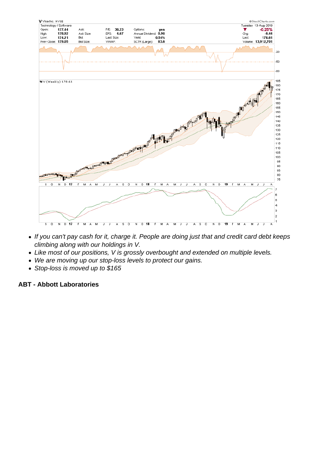- If you can't pay cash for it, charge it. People are doing just that and credit card debt keeps climbing along with our holdings in V.
- Like most of our positions, V is grossly overbought and extended on multiple levels.
- We are moving up our stop-loss levels to protect our gains.
- Stop-loss is moved up to \$165

ABT - Abbott Laboratories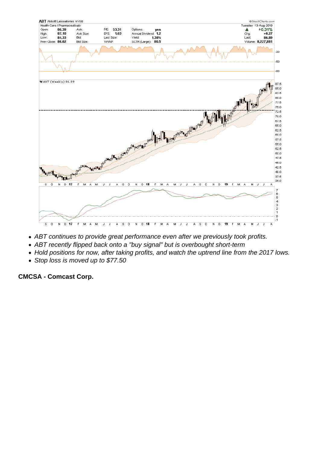- ABT continues to provide great performance even after we previously took profits.
- ABT recently flipped back onto a "buy signal" but is overbought short-term
- Hold positions for now, after taking profits, and watch the uptrend line from the 2017 lows.
- Stop loss is moved up to \$77.50

CMCSA - Comcast Corp.